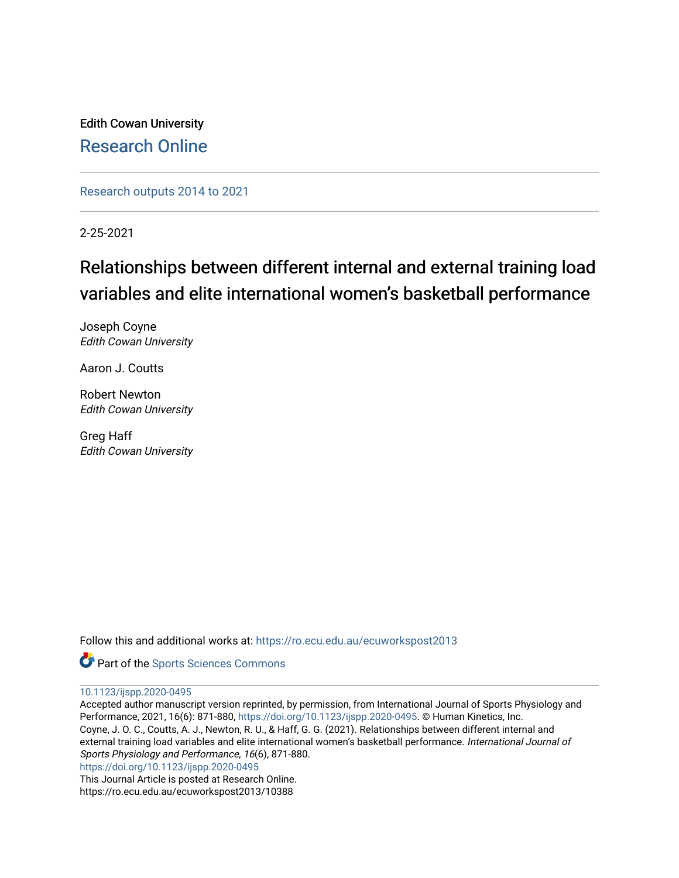Edith Cowan University [Research Online](https://ro.ecu.edu.au/) 

[Research outputs 2014 to 2021](https://ro.ecu.edu.au/ecuworkspost2013) 

2-25-2021

# Relationships between different internal and external training load variables and elite international women's basketball performance

Joseph Coyne Edith Cowan University

Aaron J. Coutts

Robert Newton Edith Cowan University

Greg Haff Edith Cowan University

Follow this and additional works at: [https://ro.ecu.edu.au/ecuworkspost2013](https://ro.ecu.edu.au/ecuworkspost2013?utm_source=ro.ecu.edu.au%2Fecuworkspost2013%2F10388&utm_medium=PDF&utm_campaign=PDFCoverPages) 

**Part of the Sports Sciences Commons** 

[10.1123/ijspp.2020-0495](http://dx.doi.org/10.1123/ijspp.2020-0495) 

Accepted author manuscript version reprinted, by permission, from International Journal of Sports Physiology and Performance, 2021, 16(6): 871-880, <https://doi.org/10.1123/ijspp.2020-0495>. © Human Kinetics, Inc. Coyne, J. O. C., Coutts, A. J., Newton, R. U., & Haff, G. G. (2021). Relationships between different internal and external training load variables and elite international women's basketball performance. International Journal of Sports Physiology and Performance, 16(6), 871-880.

<https://doi.org/10.1123/ijspp.2020-0495>

This Journal Article is posted at Research Online. https://ro.ecu.edu.au/ecuworkspost2013/10388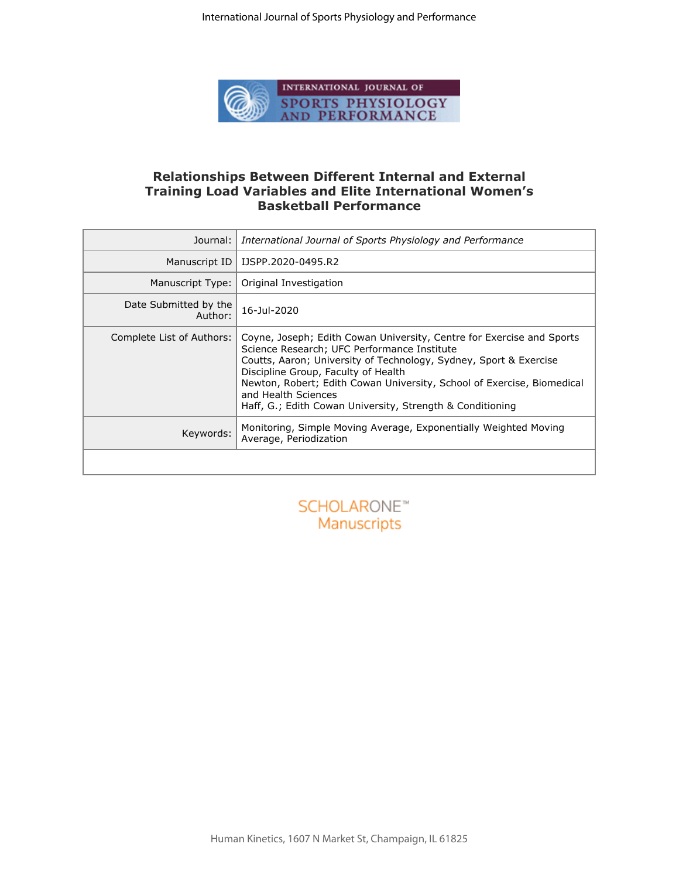

## **Relationships Between Different Internal and External Training Load Variables and Elite International Women's Basketball Performance**

| Journal:                         | International Journal of Sports Physiology and Performance                                                                                                                                                                                                                                                                                                                                     |  |  |  |
|----------------------------------|------------------------------------------------------------------------------------------------------------------------------------------------------------------------------------------------------------------------------------------------------------------------------------------------------------------------------------------------------------------------------------------------|--|--|--|
| Manuscript ID                    | IJSPP.2020-0495.R2                                                                                                                                                                                                                                                                                                                                                                             |  |  |  |
| Manuscript Type:                 | Original Investigation                                                                                                                                                                                                                                                                                                                                                                         |  |  |  |
| Date Submitted by the<br>Author: | 16-Jul-2020                                                                                                                                                                                                                                                                                                                                                                                    |  |  |  |
| Complete List of Authors:        | Coyne, Joseph; Edith Cowan University, Centre for Exercise and Sports<br>Science Research; UFC Performance Institute<br>Coutts, Aaron; University of Technology, Sydney, Sport & Exercise<br>Discipline Group, Faculty of Health<br>Newton, Robert; Edith Cowan University, School of Exercise, Biomedical<br>and Health Sciences<br>Haff, G.; Edith Cowan University, Strength & Conditioning |  |  |  |
| Keywords:                        | Monitoring, Simple Moving Average, Exponentially Weighted Moving<br>Average, Periodization                                                                                                                                                                                                                                                                                                     |  |  |  |
|                                  |                                                                                                                                                                                                                                                                                                                                                                                                |  |  |  |
|                                  | SCHOLARONE <sup>**</sup><br>Manuscripts                                                                                                                                                                                                                                                                                                                                                        |  |  |  |

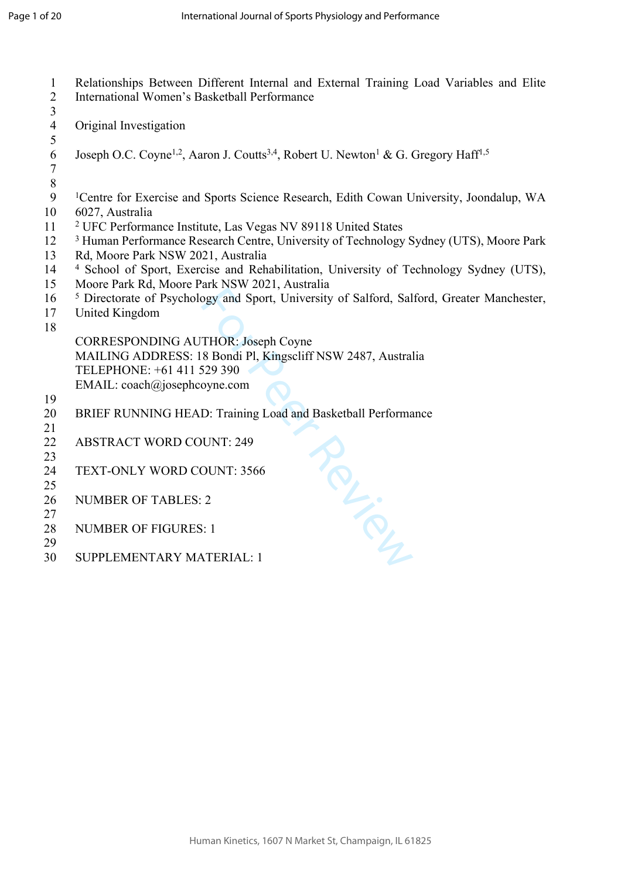1 Relationships Between Different Internal and External Training Load Variables and Elite 2 International Women's Basketball Performance 3 4 Original Investigation 5 6 Joseph O.C. Coyne<sup>1,2</sup>, Aaron J. Coutts<sup>3,4</sup>, Robert U. Newton<sup>1</sup> & G. Gregory Haff<sup>1,5</sup> 7<br>8<br>9 8 9 <sup>1</sup>Centre for Exercise and Sports Science Research, Edith Cowan University, Joondalup, WA 10 6027, Australia 11 2 UFC Performance Institute, Las Vegas NV 89118 United States 12 <sup>3</sup> Human Performance Research Centre, University of Technology Sydney (UTS), Moore Park 13 Rd, Moore Park NSW 2021, Australia 14 4 School of Sport, Exercise and Rehabilitation, University of Technology Sydney (UTS), 15 Moore Park Rd, Moore Park NSW 2021, Australia 16 <sup>5</sup> Directorate of Psychology and Sport, University of Salford, Salford, Greater Manchester, 17 United Kingdom 18 CORRESPONDING AUTHOR: Joseph Coyne MAILING ADDRESS: 18 Bondi Pl, Kingscliff NSW 2487, Australia TELEPHONE: +61 411 529 390 EMAIL: [coach@josephcoyne.com](mailto:coach@josephcoyne.com) 19 20 BRIEF RUNNING HEAD: Training Load and Basketball Performance Roys 21 22 ABSTRACT WORD COUNT: 249 23 24 TEXT-ONLY WORD COUNT: 3566 25 26 NUMBER OF TABLES: 2 27 28 NUMBER OF FIGURES: 1 29 30 SUPPLEMENTARY MATERIAL: 1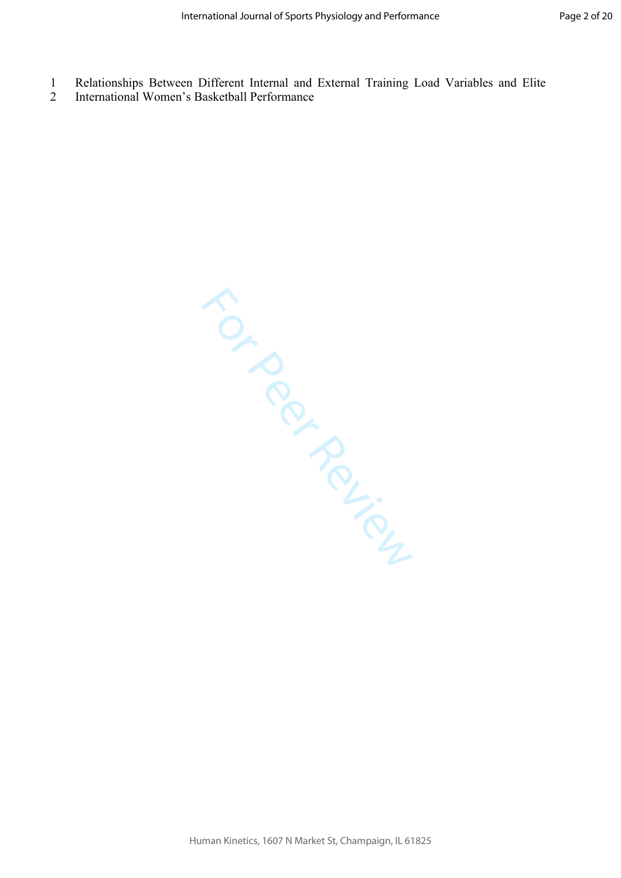- 1 Relationships Between Different Internal and External Training Load Variables and Elite
- 2 International Women's Basketball Performance

TON PROVISING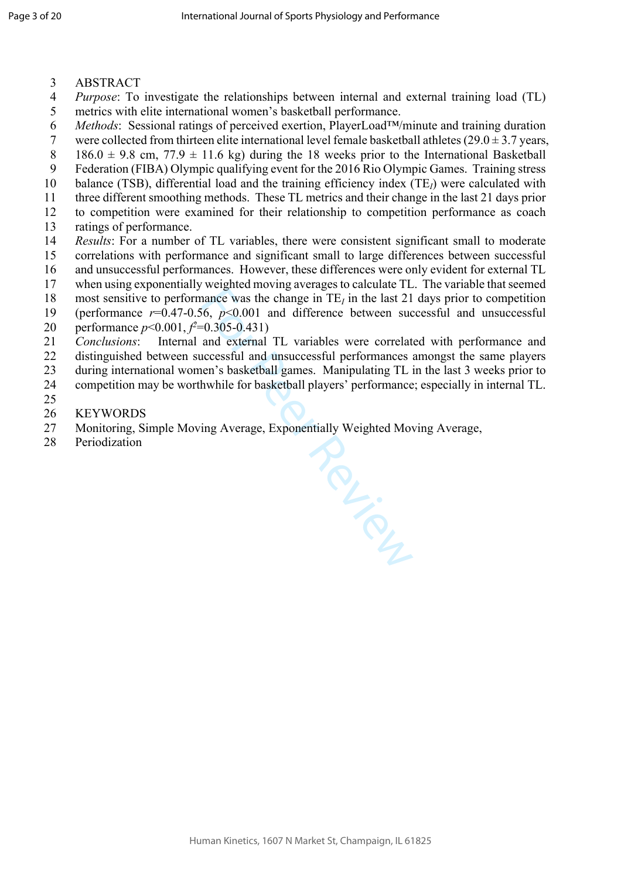- 3 ABSTRACT
- 4 *Purpose*: To investigate the relationships between internal and external training load (TL) 5 metrics with elite international women's basketball performance.
- 6 *Methods*: Sessional ratings of perceived exertion, PlayerLoad™/minute and training duration
- 7 were collected from thirteen elite international level female basketball athletes  $(29.0 \pm 3.7 \text{ years})$
- 8 186.0  $\pm$  9.8 cm, 77.9  $\pm$  11.6 kg) during the 18 weeks prior to the International Basketball
- 9 Federation (FIBA) Olympic qualifying event for the 2016 Rio Olympic Games. Training stress
- 10 balance (TSB), differential load and the training efficiency index (TE<sub>I</sub>) were calculated with
- 11 three different smoothing methods. These TL metrics and their change in the last 21 days prior
- 12 to competition were examined for their relationship to competition performance as coach 13 ratings of performance.
- 14 *Results*: For a number of TL variables, there were consistent significant small to moderate
- 15 correlations with performance and significant small to large differences between successful
- 16 and unsuccessful performances. However, these differences were only evident for external TL
- 17 when using exponentially weighted moving averages to calculate TL. The variable that seemed
- 18 most sensitive to performance was the change in  $TE<sub>I</sub>$  in the last 21 days prior to competition
- 19 (performance  $r=0.47-0.56$ ,  $p<0.001$  and difference between successful and unsuccessful
- 20 performance *p*<0.001, *f<sup>2</sup>*=0.305-0.431)
- 21 *Conclusions*: Internal and external TL variables were correlated with performance and
- 22 distinguished between successful and unsuccessful performances amongst the same players
- 23 during international women's basketball games. Manipulating TL in the last 3 weeks prior to
- 24 competition may be worthwhile for basketball players' performance; especially in internal TL.
- 25
- 26 KEYWORDS
- **PRUSSED** 27 Monitoring, Simple Moving Average, Exponentially Weighted Moving Average,
- 28 Periodization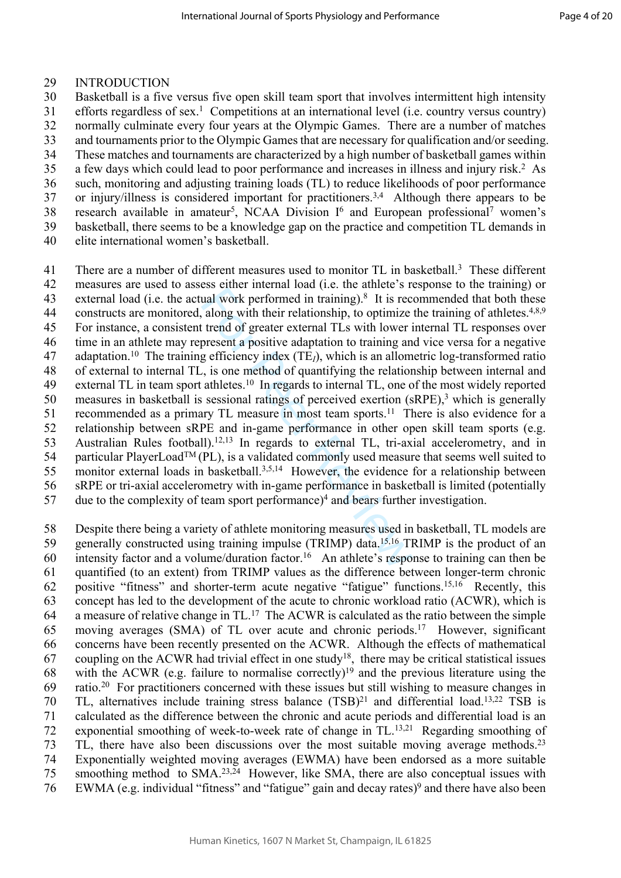#### 29 INTRODUCTION

30 Basketball is a five versus five open skill team sport that involves intermittent high intensity 31 efforts regardless of sex. 1 Competitions at an international level (i.e. country versus country) 32 normally culminate every four years at the Olympic Games. There are a number of matches 33 and tournaments prior to the Olympic Games that are necessary for qualification and/or seeding. 34 These matches and tournaments are characterized by a high number of basketball games within 35 a few days which could lead to poor performance and increases in illness and injury risk.<sup>2</sup> As 36 such, monitoring and adjusting training loads (TL) to reduce likelihoods of poor performance 37 or injury/illness is considered important for practitioners.<sup>3,4</sup> Although there appears to be 38 research available in amateur<sup>5</sup>, NCAA Division I<sup>6</sup> and European professional<sup>7</sup> women's

- 39 basketball, there seems to be a knowledge gap on the practice and competition TL demands in
- 40 elite international women's basketball.

and work performed in training).<sup>8</sup> It is recently work performed in training).<sup>8</sup> It is recently about their relationship, to optimize trend of greater external TLs with lower in present a positive adaptation to training 41 There are a number of different measures used to monitor TL in basketball. 3 These different 42 measures are used to assess either internal load (i.e. the athlete's response to the training) or 43 external load (i.e. the actual work performed in training).<sup>8</sup> It is recommended that both these 44 constructs are monitored, along with their relationship, to optimize the training of athletes.<sup>4,8,9</sup> 45 For instance, a consistent trend of greater external TLs with lower internal TL responses over 46 time in an athlete may represent a positive adaptation to training and vice versa for a negative 47 adaptation.<sup>10</sup> The training efficiency index (TE *<sup>I</sup>*), which is an allometric log-transformed ratio 48 of external to internal TL, is one method of quantifying the relationship between internal and 49 external TL in team sport athletes.<sup>10</sup> In regards to internal TL, one of the most widely reported 50 measures in basketball is sessional ratings of perceived exertion (sRPE),<sup>3</sup> which is generally 51 recommended as a primary TL measure in most team sports.<sup>11</sup> There is also evidence for a 52 relationship between sRPE and in-game performance in other open skill team sports (e.g. 53 Australian Rules football).12,13 In regards to external TL, tri-axial accelerometry, and in 54 particular PlayerLoad<sup>TM</sup> (PL), is a validated commonly used measure that seems well suited to 55 monitor external loads in basketball.3,5,14 However, the evidence for a relationship between 56 sRPE or tri-axial accelerometry with in-game performance in basketball is limited (potentially 57 due to the complexity of team sport performance)<sup>4</sup> and bears further investigation.

58 Despite there being a variety of athlete monitoring measures used in basketball, TL models are 59 generally constructed using training impulse (TRIMP) data.15,16 TRIMP is the product of an 60 intensity factor and a volume/duration factor.<sup>16</sup> An athlete's response to training can then be 61 quantified (to an extent) from TRIMP values as the difference between longer-term chronic 62 positive "fitness" and shorter-term acute negative "fatigue" functions.15,16 Recently, this 63 concept has led to the development of the acute to chronic workload ratio (ACWR), which is 64 a measure of relative change in TL.<sup>17</sup> The ACWR is calculated as the ratio between the simple 65 moving averages (SMA) of TL over acute and chronic periods.<sup>17</sup> However, significant 66 concerns have been recently presented on the ACWR. Although the effects of mathematical 67 coupling on the ACWR had trivial effect in one study<sup>18</sup>, there may be critical statistical issues 68 with the ACWR (e.g. failure to normalise correctly)<sup>19</sup> and the previous literature using the 69 ratio.<sup>20</sup> For practitioners concerned with these issues but still wishing to measure changes in 70 TL, alternatives include training stress balance (TSB)<sup>21</sup> and differential load.13,22 TSB is 71 calculated as the difference between the chronic and acute periods and differential load is an 72 exponential smoothing of week-to-week rate of change in TL.13,21 Regarding smoothing of 73 TL, there have also been discussions over the most suitable moving average methods.<sup>23</sup> 74 Exponentially weighted moving averages (EWMA) have been endorsed as a more suitable 75 smoothing method to SMA.23,24 However, like SMA, there are also conceptual issues with 76 EWMA (e.g. individual "fitness" and "fatigue" gain and decay rates) 9 and there have also been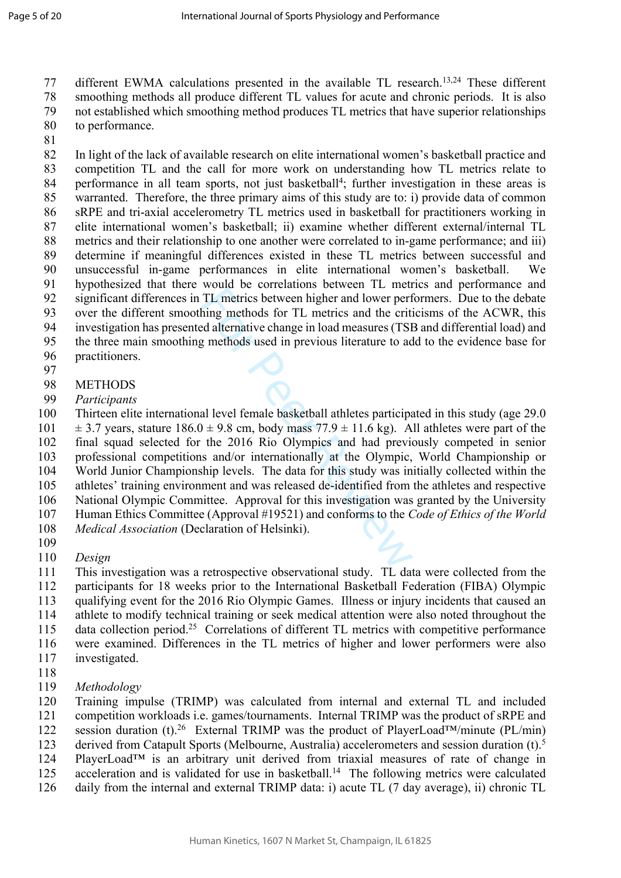77 different EWMA calculations presented in the available TL research.13,24 These different 78 smoothing methods all produce different TL values for acute and chronic periods. It is also 79 not established which smoothing method produces TL metrics that have superior relationships 80 to performance.

81

82 In light of the lack of available research on elite international women's basketball practice and 83 competition TL and the call for more work on understanding how TL metrics relate to 84 performance in all team sports, not just basketball 4 ; further investigation in these areas is 85 warranted. Therefore, the three primary aims of this study are to: i) provide data of common 86 sRPE and tri-axial accelerometry TL metrics used in basketball for practitioners working in 87 elite international women's basketball; ii) examine whether different external/internal TL 88 metrics and their relationship to one another were correlated to in-game performance; and iii) 89 determine if meaningful differences existed in these TL metrics between successful and 90 unsuccessful in-game performances in elite international women's basketball. We 91 hypothesized that there would be correlations between TL metrics and performance and 92 significant differences in TL metrics between higher and lower performers. Due to the debate 93 over the different smoothing methods for TL metrics and the criticisms of the ACWR, this 94 investigation has presented alternative change in load measures (TSB and differential load) and 95 the three main smoothing methods used in previous literature to add to the evidence base for

- 96 practitioners.
- 97
- 98 METHODS
- 99 *Participants*

TL metrics between higher and lower perfiting<br>TL metrics between higher and lower perfiting<br>and alternative change in load measures (TSB<br>g methods used in previous literature to ad<br>all level female basketball athletes par 100 Thirteen elite international level female basketball athletes participated in this study (age 29.0 101  $\pm$  3.7 years, stature 186.0  $\pm$  9.8 cm, body mass 77.9  $\pm$  11.6 kg). All athletes were part of the 102 final squad selected for the 2016 Rio Olympics and had previously competed in senior 103 professional competitions and/or internationally at the Olympic, World Championship or 104 World Junior Championship levels. The data for this study was initially collected within the 105 athletes' training environment and was released de-identified from the athletes and respective 106 National Olympic Committee. Approval for this investigation was granted by the University 107 Human Ethics Committee (Approval #19521) and conforms to the *Code of Ethics of the World*  108 *Medical Association* (Declaration of Helsinki).

- 109
- 110 *Design*

111 This investigation was a retrospective observational study. TL data were collected from the 112 participants for 18 weeks prior to the International Basketball Federation (FIBA) Olympic 113 qualifying event for the 2016 Rio Olympic Games. Illness or injury incidents that caused an 114 athlete to modify technical training or seek medical attention were also noted throughout the 115 data collection period.<sup>25</sup> Correlations of different TL metrics with competitive performance 116 were examined. Differences in the TL metrics of higher and lower performers were also 117 investigated.

- 118
- 119 *Methodology*

120 Training impulse (TRIMP) was calculated from internal and external TL and included 121 competition workloads i.e. games/tournaments. Internal TRIMP was the product of sRPE and

122 session duration (t).<sup>26</sup> External TRIMP was the product of PlayerLoad<sup>TM</sup>/minute (PL/min)

123 derived from Catapult Sports (Melbourne, Australia) accelerometers and session duration (t).<sup>5</sup>

124 PlayerLoad™ is an arbitrary unit derived from triaxial measures of rate of change in

- 125 acceleration and is validated for use in basketball.<sup>14</sup> The following metrics were calculated
- 126 daily from the internal and external TRIMP data: i) acute TL (7 day average), ii) chronic TL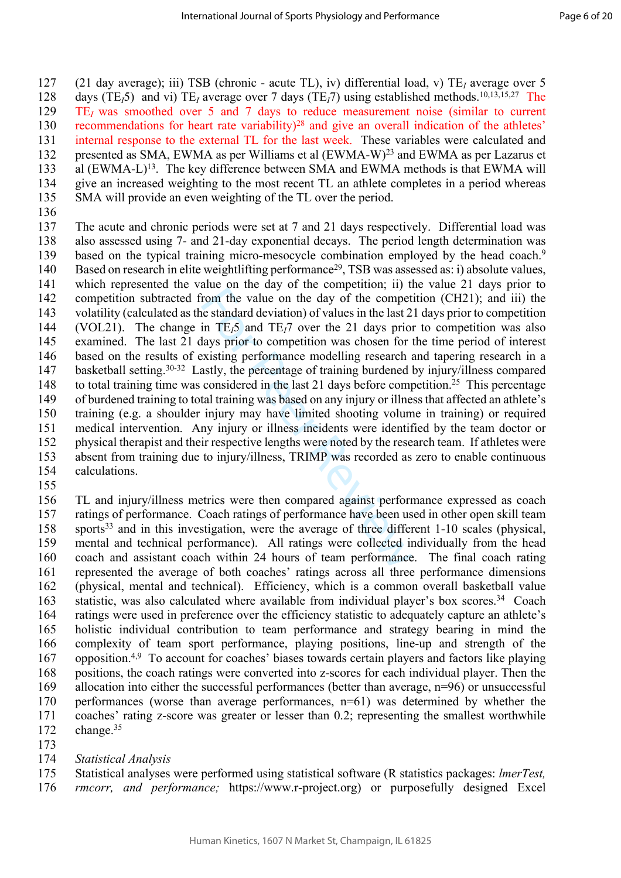127 (21 day average); iii) TSB (chronic - acute TL), iv) differential load, v) TE*<sup>I</sup>* average over 5 128 days (TE<sub>I</sub>5) and vi) TE<sub>I</sub> average over 7 days (TE<sub>I</sub>7) using established methods.<sup>10,13,15,27</sup> The 129 TE*I* was smoothed over 5 and 7 days to reduce measurement noise (similar to current 130 recommendations for heart rate variability)<sup>28</sup> and give an overall indication of the athletes' 131 internal response to the external TL for the last week. These variables were calculated and 132 presented as SMA, EWMA as per Williams et al (EWMA-W)<sup>23</sup> and EWMA as per Lazarus et 133 al (EWMA-L)<sup>13</sup>. The key difference between SMA and EWMA methods is that EWMA will 134 give an increased weighting to the most recent TL an athlete completes in a period whereas 135 SMA will provide an even weighting of the TL over the period.

136

and on the value on the day of the competence, if y in<br>trom the value on the day of the compete<br>e standard deviation) of values in the last 2<br>in TE<sub>i</sub>S and TE<sub>i</sub>7 over the 21 days prior<br>days prior to competition was chose 137 The acute and chronic periods were set at 7 and 21 days respectively. Differential load was 138 also assessed using 7- and 21-day exponential decays. The period length determination was 139 based on the typical training micro-mesocycle combination employed by the head coach.<sup>9</sup> 140 Based on research in elite weightlifting performance<sup>29</sup>, TSB was assessed as: i) absolute values, 141 which represented the value on the day of the competition; ii) the value 21 days prior to 142 competition subtracted from the value on the day of the competition (CH21); and iii) the 143 volatility (calculated as the standard deviation) of values in the last 21 days prior to competition 144 (VOL21). The change in  $TE_15$  and  $TE_17$  over the 21 days prior to competition was also examined. The last 21 days prior to competition was chosen for the time period of interest examined. The last 21 days prior to competition was chosen for the time period of interest 146 based on the results of existing performance modelling research and tapering research in a 147 basketball setting.<sup>30-32</sup> Lastly, the percentage of training burdened by injury/illness compared 148 to total training time was considered in the last 21 days before competition.<sup>25</sup> This percentage 149 of burdened training to total training was based on any injury or illness that affected an athlete's 150 training (e.g. a shoulder injury may have limited shooting volume in training) or required 151 medical intervention. Any injury or illness incidents were identified by the team doctor or 152 physical therapist and their respective lengths were noted by the research team. If athletes were 153 absent from training due to injury/illness, TRIMP was recorded as zero to enable continuous 154 calculations.

155

156 TL and injury/illness metrics were then compared against performance expressed as coach 157 ratings of performance. Coach ratings of performance have been used in other open skill team 158 sports<sup>33</sup> and in this investigation, were the average of three different 1-10 scales (physical, 159 mental and technical performance). All ratings were collected individually from the head 160 coach and assistant coach within 24 hours of team performance. The final coach rating 161 represented the average of both coaches' ratings across all three performance dimensions 162 (physical, mental and technical). Efficiency, which is a common overall basketball value 163 statistic, was also calculated where available from individual player's box scores.<sup>34</sup> Coach 164 ratings were used in preference over the efficiency statistic to adequately capture an athlete's 165 holistic individual contribution to team performance and strategy bearing in mind the 166 complexity of team sport performance, playing positions, line-up and strength of the 167 opposition.4,9 To account for coaches' biases towards certain players and factors like playing 168 positions, the coach ratings were converted into z-scores for each individual player. Then the 169 allocation into either the successful performances (better than average, n=96) or unsuccessful 170 performances (worse than average performances, n=61) was determined by whether the 171 coaches' rating z-score was greater or lesser than 0.2; representing the smallest worthwhile 172 change.<sup>35</sup>

173

#### 174 *Statistical Analysis*

175 Statistical analyses were performed using statistical software (R statistics packages: *lmerTest,* 

176 *rmcorr, and performance;* https://www.r-project.org) or purposefully designed Excel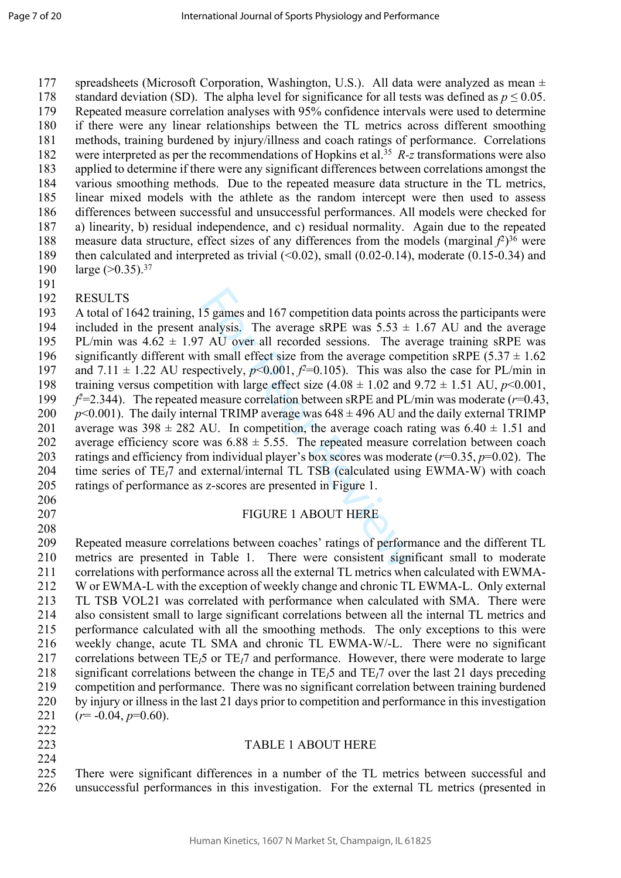177 spreadsheets (Microsoft Corporation, Washington, U.S.). All data were analyzed as mean ± 178 standard deviation (SD). The alpha level for significance for all tests was defined as  $p \le 0.05$ . 179 Repeated measure correlation analyses with 95% confidence intervals were used to determine 180 if there were any linear relationships between the TL metrics across different smoothing 181 methods, training burdened by injury/illness and coach ratings of performance. Correlations 182 were interpreted as per the recommendations of Hopkins et al.<sup>35</sup> R-z transformations were also 183 applied to determine if there were any significant differences between correlations amongst the 184 various smoothing methods. Due to the repeated measure data structure in the TL metrics, 185 linear mixed models with the athlete as the random intercept were then used to assess 186 differences between successful and unsuccessful performances. All models were checked for 187 a) linearity, b) residual independence, and c) residual normality. Again due to the repeated 188 measure data structure, effect sizes of any differences from the models (marginal  $f^2$ )<sup>36</sup> were 189 then calculated and interpreted as trivial (<0.02), small (0.02-0.14), moderate (0.15-0.34) and 190 large (>0.35).<sup>37</sup>

191

### 192 RESULTS

5 games and 167 competition data points a<br>  $5 \text{ gauss}$ . The average sRPE was  $5.53 \pm$ <br>  $^1$  AU over all recorded sessions. The average compectively,  $p<0.001$ ,  $f<sup>2</sup>=0.105$ ). This was also n with large effect size (4.08 193 A total of 1642 training, 15 games and 167 competition data points across the participants were 194 included in the present analysis. The average sRPE was  $5.53 \pm 1.67$  AU and the average 195 PL/min was  $4.62 \pm 1.97$  AU over all recorded sessions. The average training sRPE was 196 significantly different with small effect size from the average competition sRPE (5.37  $\pm$  1.62 197 and 7.11  $\pm$  1.22 AU respectively,  $p<0.001$ ,  $f<sup>2</sup>=0.105$ ). This was also the case for PL/min in 198 training versus competition with large effect size  $(4.08 \pm 1.02 \text{ and } 9.72 \pm 1.51 \text{ AU}, p<0.001,$ 199  $f^2$ =2.344). The repeated measure correlation between sRPE and PL/min was moderate ( $r$ =0.43, 200  $p$ <0.001). The daily internal TRIMP average was  $648 \pm 496$  AU and the daily external TRIMP 201 average was  $398 \pm 282$  AU. In competition, the average coach rating was  $6.40 \pm 1.51$  and 202 average efficiency score was  $6.88 \pm 5.55$ . The repeated measure correlation between coach 203 ratings and efficiency from individual player's box scores was moderate  $(r=0.35, p=0.02)$ . The 204 time series of TE<sub>I</sub>7 and external/internal TL TSB (calculated using EWMA-W) with coach 205 ratings of performance as z-scores are presented in Figure 1.

- 206
- 208

222

224

# 207 FIGURE 1 ABOUT HERE

209 Repeated measure correlations between coaches' ratings of performance and the different TL 210 metrics are presented in Table 1. There were consistent significant small to moderate 211 correlations with performance across all the external TL metrics when calculated with EWMA-212 W or EWMA-L with the exception of weekly change and chronic TL EWMA-L. Only external 213 TL TSB VOL21 was correlated with performance when calculated with SMA. There were 214 also consistent small to large significant correlations between all the internal TL metrics and 215 performance calculated with all the smoothing methods. The only exceptions to this were 216 weekly change, acute TL SMA and chronic TL EWMA-W/-L. There were no significant 217 correlations between  $TE<sub>1</sub>5$  or  $TE<sub>1</sub>7$  and performance. However, there were moderate to large 218 significant correlations between the change in TE *<sup>I</sup>*5 and TE *<sup>I</sup>*7 over the last 21 days preceding 219 competition and performance. There was no significant correlation between training burdened 220 by injury or illness in the last 21 days prior to competition and performance in this investigation 221 ( *r*= -0.04, *p*=0.60).

223 TABLE 1 ABOUT HERE

225 There were significant differences in a number of the TL metrics between successful and 226 unsuccessful performances in this investigation. For the external TL metrics (presented in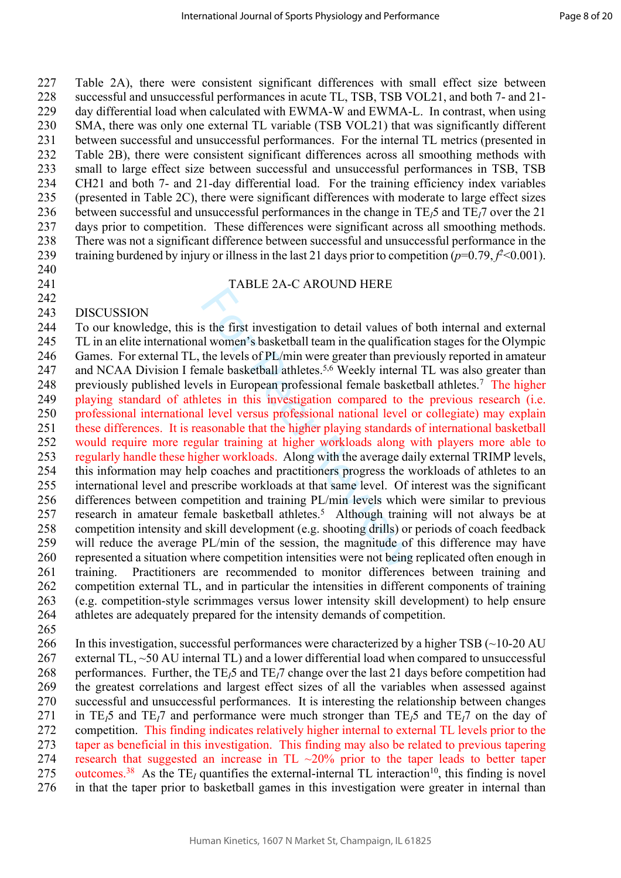227 Table 2A), there were consistent significant differences with small effect size between 228 successful and unsuccessful performances in acute TL, TSB, TSB VOL21, and both 7- and 21- 229 day differential load when calculated with EWMA-W and EWMA-L. In contrast, when using 230 SMA, there was only one external TL variable (TSB VOL21) that was significantly different 231 between successful and unsuccessful performances. For the internal TL metrics (presented in 232 Table 2B), there were consistent significant differences across all smoothing methods with 233 small to large effect size between successful and unsuccessful performances in TSB, TSB 234 CH21 and both 7- and 21-day differential load. For the training efficiency index variables 235 (presented in Table 2C), there were significant differences with moderate to large effect sizes 236 between successful and unsuccessful performances in the change in TE<sub>I</sub>5 and TE<sub>I</sub>7 over the 21<br>237 days prior to competition. These differences were significant across all smoothing methods. days prior to competition. These differences were significant across all smoothing methods. 238 There was not a significant difference between successful and unsuccessful performance in the 239 training burdened by injury or illness in the last 21 days prior to competition  $(p=0.79, f^2 < 0.001)$ .

240

242

#### 241 TABLE 2A-C AROUND HERE

#### 243 DISCUSSION

EVENTA 2.1 C THESTAR MURLEY THAT STAR STAR ON THE SALE AND NOTE IT AND NOTE IT AND NOTE IT AND NOTE IT AND NOTE IT AND NOTE IT AND NOTE THAT AND NOTE IT AND NOTE THAT AND NOTE IT AND NOTE AND NOTE THAT AND NOTE THAT AND N 244 To our knowledge, this is the first investigation to detail values of both internal and external 245 TL in an elite international women's basketball team in the qualification stages for the Olympic 246 Games. For external TL, the levels of PL/min were greater than previously reported in amateur 247 and NCAA Division I female basketball athletes.<sup>5,6</sup> Weekly internal TL was also greater than 248 previously published levels in European professional female basketball athletes.<sup>7</sup> The higher 249 playing standard of athletes in this investigation compared to the previous research (i.e. 250 professional international level versus professional national level or collegiate) may explain 251 these differences. It is reasonable that the higher playing standards of international basketball 252 would require more regular training at higher workloads along with players more able to 253 regularly handle these higher workloads. Along with the average daily external TRIMP levels, 254 this information may help coaches and practitioners progress the workloads of athletes to an 255 international level and prescribe workloads at that same level. Of interest was the significant 256 differences between competition and training PL/min levels which were similar to previous 257 research in amateur female basketball athletes.<sup>5</sup> Although training will not always be at 258 competition intensity and skill development (e.g. shooting drills) or periods of coach feedback 259 will reduce the average PL/min of the session, the magnitude of this difference may have 260 represented a situation where competition intensities were not being replicated often enough in 261 training. Practitioners are recommended to monitor differences between training and 262 competition external TL, and in particular the intensities in different components of training 263 (e.g. competition-style scrimmages versus lower intensity skill development) to help ensure 264 athletes are adequately prepared for the intensity demands of competition.

265

266 In this investigation, successful performances were characterized by a higher TSB  $(\sim 10-20 \text{ AU})$ 267 external TL, ~50 AU internal TL) and a lower differential load when compared to unsuccessful 268 performances. Further, the TE*I*5 and TE*I*7 change over the last 21 days before competition had 269 the greatest correlations and largest effect sizes of all the variables when assessed against 270 successful and unsuccessful performances. It is interesting the relationship between changes 271 in TE*I*5 and TE*I*7 and performance were much stronger than TE*I*5 and TE*I*7 on the day of 272 competition. This finding indicates relatively higher internal to external TL levels prior to the 273 taper as beneficial in this investigation. This finding may also be related to previous tapering 274 research that suggested an increase in TL  $\sim$ 20% prior to the taper leads to better taper outcomes.<sup>38</sup> As the TE<sub>z</sub> quantifies the external-internal TL interaction<sup>10</sup>, this finding is novel 275 outcomes.<sup>38</sup> As the TE<sub>I</sub> quantifies the external-internal TL interaction<sup>10</sup>, this finding is novel 276 in that the taper prior to basketball games in this investigation were greater in internal than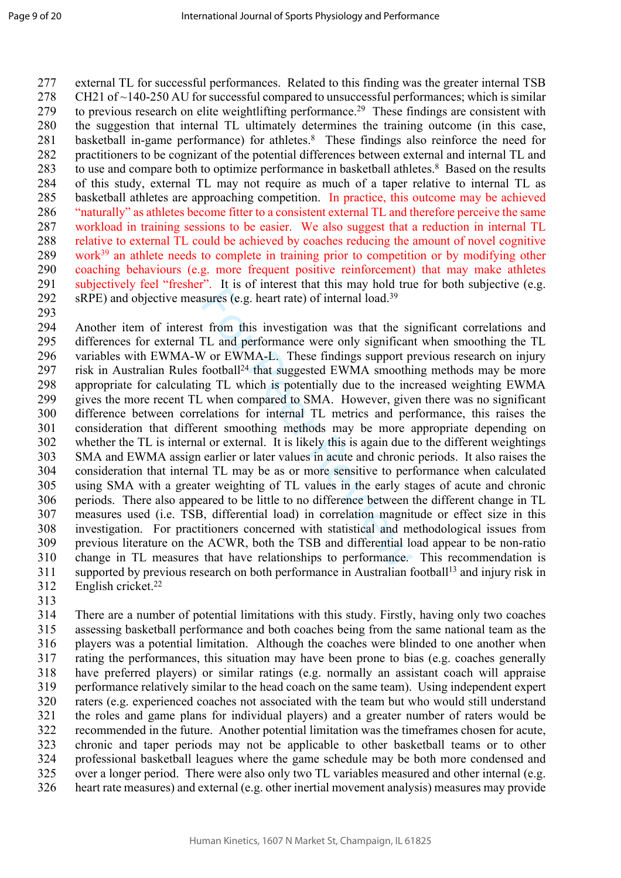277 external TL for successful performances. Related to this finding was the greater internal TSB 278 CH21 of  $\sim$ 140-250 AU for successful compared to unsuccessful performances; which is similar 279 to previous research on elite weightlifting performance.<sup>29</sup> These findings are consistent with 280 the suggestion that internal TL ultimately determines the training outcome (in this case, 281 basketball in-game performance) for athletes.<sup>8</sup> These findings also reinforce the need for 282 practitioners to be cognizant of the potential differences between external and internal TL and 283 to use and compare both to optimize performance in basketball athletes.<sup>8</sup> Based on the results 284 of this study, external TL may not require as much of a taper relative to internal TL as 285 basketball athletes are approaching competition. In practice, this outcome may be achieved 286 "naturally" as athletes become fitter to a consistent external TL and therefore perceive the same 287 workload in training sessions to be easier. We also suggest that a reduction in internal TL 288 relative to external TL could be achieved by coaches reducing the amount of novel cognitive 289 work<sup>39</sup> an athlete needs to complete in training prior to competition or by modifying other 290 coaching behaviours (e.g. more frequent positive reinforcement) that may make athletes 291 subjectively feel "fresher". It is of interest that this may hold true for both subjective (e.g. 292 sRPE) and objective measures (e.g. heart rate) of internal load.<sup>39</sup>

293

For all the set interest that all the same sures (e.g. heart rate) of internal load.<sup>39</sup><br>t from this investigation was that the si<sub>l</sub><br>TL and performance were only significan<br>V or EWMA-L. These findings support p<br>football<sup></sup> 294 Another item of interest from this investigation was that the significant correlations and 295 differences for external TL and performance were only significant when smoothing the TL 296 variables with EWMA-W or EWMA-L. These findings support previous research on injury 297 risk in Australian Rules football<sup>24</sup> that suggested EWMA smoothing methods may be more 298 appropriate for calculating TL which is potentially due to the increased weighting EWMA 299 gives the more recent TL when compared to SMA. However, given there was no significant 300 difference between correlations for internal TL metrics and performance, this raises the 301 consideration that different smoothing methods may be more appropriate depending on 302 whether the TL is internal or external. It is likely this is again due to the different weightings 303 SMA and EWMA assign earlier or later values in acute and chronic periods. It also raises the 304 consideration that internal TL may be as or more sensitive to performance when calculated 305 using SMA with a greater weighting of TL values in the early stages of acute and chronic 306 periods. There also appeared to be little to no difference between the different change in TL 307 measures used (i.e. TSB, differential load) in correlation magnitude or effect size in this 308 investigation. For practitioners concerned with statistical and methodological issues from 309 previous literature on the ACWR, both the TSB and differential load appear to be non-ratio 310 change in TL measures that have relationships to performance. This recommendation is 311 supported by previous research on both performance in Australian football<sup>13</sup> and injury risk in 312 English cricket.<sup>22</sup>

313

314 There are a number of potential limitations with this study. Firstly, having only two coaches 315 assessing basketball performance and both coaches being from the same national team as the 316 players was a potential limitation. Although the coaches were blinded to one another when 317 rating the performances, this situation may have been prone to bias (e.g. coaches generally 318 have preferred players) or similar ratings (e.g. normally an assistant coach will appraise 319 performance relatively similar to the head coach on the same team). Using independent expert 320 raters (e.g. experienced coaches not associated with the team but who would still understand 321 the roles and game plans for individual players) and a greater number of raters would be 322 recommended in the future. Another potential limitation was the timeframes chosen for acute, 323 chronic and taper periods may not be applicable to other basketball teams or to other 324 professional basketball leagues where the game schedule may be both more condensed and 325 over a longer period. There were also only two TL variables measured and other internal (e.g. 326 heart rate measures) and external (e.g. other inertial movement analysis) measures may provide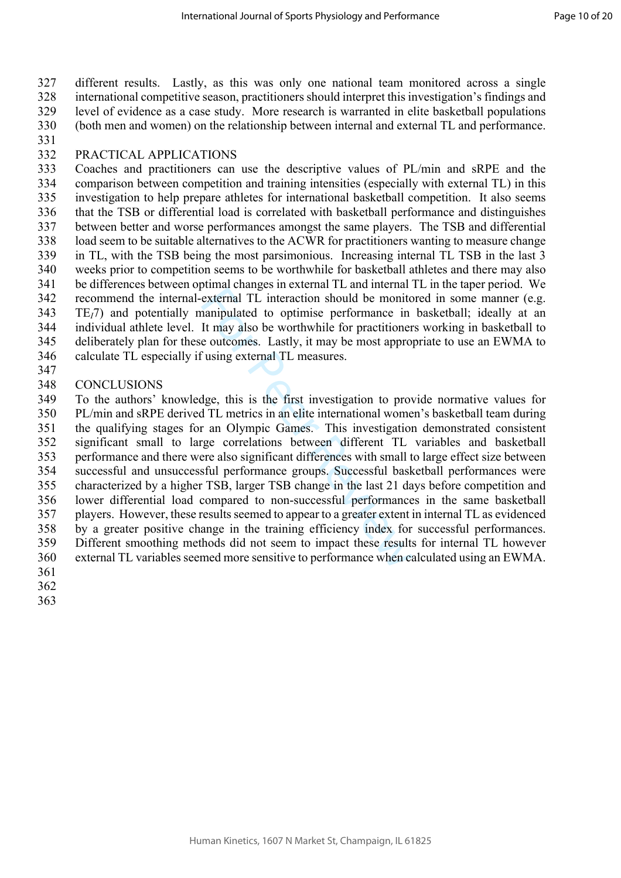327 different results. Lastly, as this was only one national team monitored across a single 328 international competitive season, practitioners should interpret this investigation's findings and 329 level of evidence as a case study. More research is warranted in elite basketball populations 330 (both men and women) on the relationship between internal and external TL and performance.

331 332 PRACTICAL APPLICATIONS

333 Coaches and practitioners can use the descriptive values of PL/min and sRPE and the 334 comparison between competition and training intensities (especially with external TL) in this 335 investigation to help prepare athletes for international basketball competition. It also seems 336 that the TSB or differential load is correlated with basketball performance and distinguishes 337 between better and worse performances amongst the same players. The TSB and differential 338 load seem to be suitable alternatives to the ACWR for practitioners wanting to measure change 339 in TL, with the TSB being the most parsimonious. Increasing internal TL TSB in the last 3 340 weeks prior to competition seems to be worthwhile for basketball athletes and there may also 341 be differences between optimal changes in external TL and internal TL in the taper period. We 342 recommend the internal-external TL interaction should be monitored in some manner (e.g. 343 TE*I*7) and potentially manipulated to optimise performance in basketball; ideally at an 344 individual athlete level. It may also be worthwhile for practitioners working in basketball to 345 deliberately plan for these outcomes. Lastly, it may be most appropriate to use an EWMA to 346 calculate TL especially if using external TL measures.

- 347
- 348 CONCLUSIONS

Formal TL interaction should be monitonarized transmitterinal TL interaction should be monito annipulated to optimise performance in It may also be worthwhile for practitionere outcomes. Lastly, it may be most appropicusin 349 To the authors' knowledge, this is the first investigation to provide normative values for 350 PL/min and sRPE derived TL metrics in an elite international women's basketball team during 351 the qualifying stages for an Olympic Games. This investigation demonstrated consistent 352 significant small to large correlations between different TL variables and basketball 353 performance and there were also significant differences with small to large effect size between 354 successful and unsuccessful performance groups. Successful basketball performances were 355 characterized by a higher TSB, larger TSB change in the last 21 days before competition and 356 lower differential load compared to non-successful performances in the same basketball 357 players. However, these results seemed to appear to a greater extent in internal TL as evidenced 358 by a greater positive change in the training efficiency index for successful performances. 359 Different smoothing methods did not seem to impact these results for internal TL however 360 external TL variables seemed more sensitive to performance when calculated using an EWMA.

- 361
- 362
- 363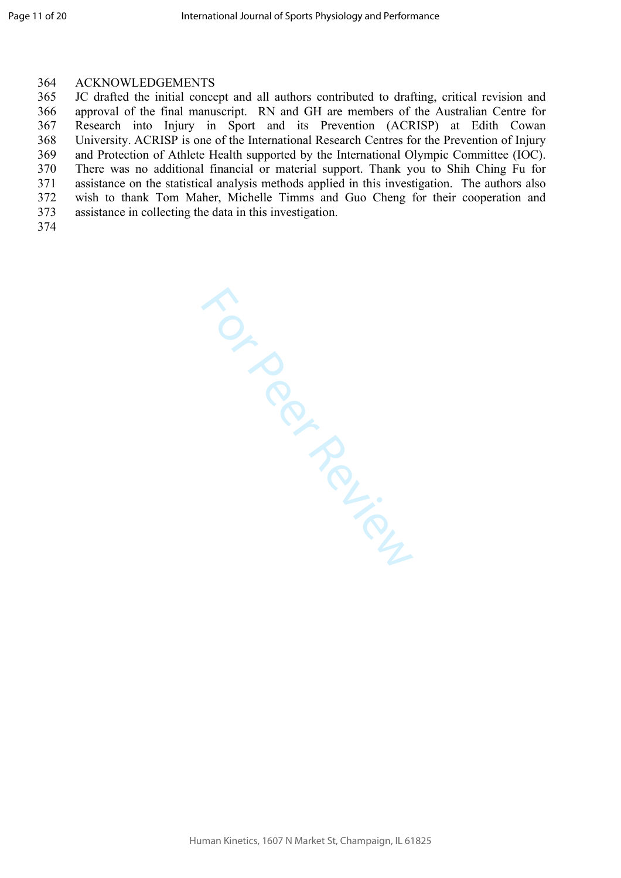#### 364 ACKNOWLEDGEMENTS

365 JC drafted the initial concept and all authors contributed to drafting, critical revision and 366 approval of the final manuscript. RN and GH are members of the Australian Centre for 367 Research into Injury in Sport and its Prevention (ACRISP) at Edith Cowan 368 University. ACRISP is one of the International Research Centres for the Prevention of Injury 369 and Protection of Athlete Health supported by the International Olympic Committee (IOC). 370 There was no additional financial or material support. Thank you to Shih Ching Fu for 371 assistance on the statistical analysis methods applied in this investigation. The authors also 372 wish to thank Tom Maher, Michelle Timms and Guo Cheng for their cooperation and 373 assistance in collecting the data in this investigation.

374

TON PROVISING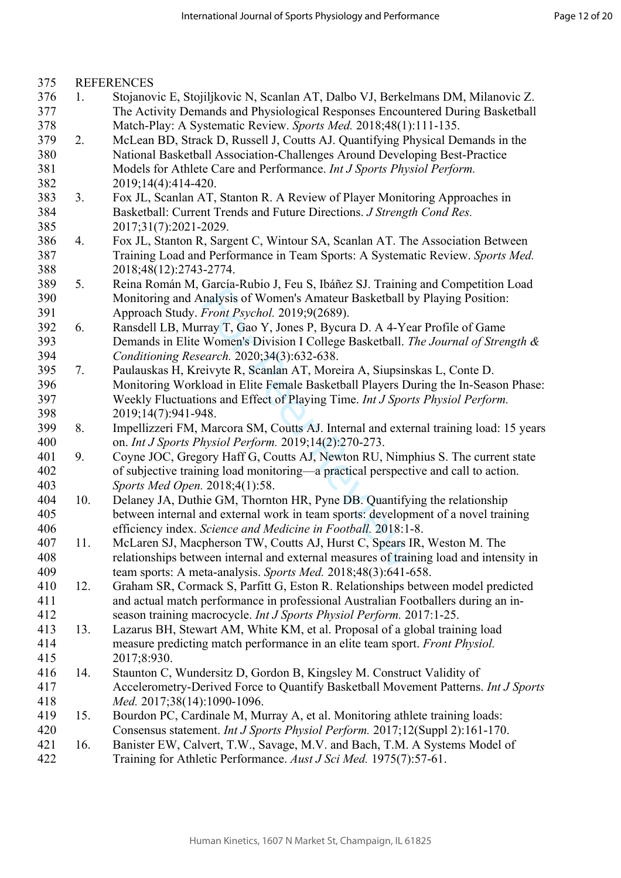| 375 |     | <b>REFERENCES</b>                                                                      |
|-----|-----|----------------------------------------------------------------------------------------|
| 376 | 1.  | Stojanovic E, Stojiljkovic N, Scanlan AT, Dalbo VJ, Berkelmans DM, Milanovic Z.        |
| 377 |     | The Activity Demands and Physiological Responses Encountered During Basketball         |
| 378 |     | Match-Play: A Systematic Review. Sports Med. 2018;48(1):111-135.                       |
| 379 | 2.  | McLean BD, Strack D, Russell J, Coutts AJ. Quantifying Physical Demands in the         |
| 380 |     | National Basketball Association-Challenges Around Developing Best-Practice             |
| 381 |     | Models for Athlete Care and Performance. Int J Sports Physiol Perform.                 |
| 382 |     | 2019;14(4):414-420.                                                                    |
| 383 | 3.  | Fox JL, Scanlan AT, Stanton R. A Review of Player Monitoring Approaches in             |
| 384 |     | Basketball: Current Trends and Future Directions. J Strength Cond Res.                 |
| 385 |     | 2017;31(7):2021-2029.                                                                  |
| 386 | 4.  | Fox JL, Stanton R, Sargent C, Wintour SA, Scanlan AT. The Association Between          |
| 387 |     | Training Load and Performance in Team Sports: A Systematic Review. Sports Med.         |
| 388 |     | 2018;48(12):2743-2774.                                                                 |
| 389 | 5.  | Reina Román M, García-Rubio J, Feu S, Ibáñez SJ. Training and Competition Load         |
| 390 |     | Monitoring and Analysis of Women's Amateur Basketball by Playing Position:             |
| 391 |     | Approach Study. Front Psychol. 2019;9(2689).                                           |
| 392 | 6.  | Ransdell LB, Murray T, Gao Y, Jones P, Bycura D. A 4-Year Profile of Game              |
| 393 |     | Demands in Elite Women's Division I College Basketball. The Journal of Strength &      |
| 394 |     | Conditioning Research. 2020;34(3):632-638.                                             |
| 395 | 7.  | Paulauskas H, Kreivyte R, Scanlan AT, Moreira A, Siupsinskas L, Conte D.               |
| 396 |     | Monitoring Workload in Elite Female Basketball Players During the In-Season Phase:     |
| 397 |     | Weekly Fluctuations and Effect of Playing Time. Int J Sports Physiol Perform.          |
| 398 |     | 2019;14(7):941-948.                                                                    |
| 399 | 8.  | Impellizzeri FM, Marcora SM, Coutts AJ. Internal and external training load: 15 years  |
| 400 |     | on. Int J Sports Physiol Perform. 2019;14(2):270-273.                                  |
| 401 | 9.  | Coyne JOC, Gregory Haff G, Coutts AJ, Newton RU, Nimphius S. The current state         |
| 402 |     | of subjective training load monitoring—a practical perspective and call to action.     |
| 403 |     | Sports Med Open. 2018;4(1):58.                                                         |
| 404 | 10. | Delaney JA, Duthie GM, Thornton HR, Pyne DB. Quantifying the relationship              |
| 405 |     | between internal and external work in team sports: development of a novel training     |
| 406 |     | efficiency index. Science and Medicine in Football. 2018:1-8.                          |
| 407 | 11. | McLaren SJ, Macpherson TW, Coutts AJ, Hurst C, Spears IR, Weston M. The                |
| 408 |     | relationships between internal and external measures of training load and intensity in |
| 409 |     | team sports: A meta-analysis. Sports Med. 2018;48(3):641-658.                          |
| 410 | 12. | Graham SR, Cormack S, Parfitt G, Eston R. Relationships between model predicted        |
| 411 |     | and actual match performance in professional Australian Footballers during an in-      |
| 412 |     | season training macrocycle. Int J Sports Physiol Perform. 2017:1-25.                   |
| 413 | 13. | Lazarus BH, Stewart AM, White KM, et al. Proposal of a global training load            |
| 414 |     | measure predicting match performance in an elite team sport. Front Physiol.            |
| 415 |     | 2017;8:930.                                                                            |
| 416 | 14. | Staunton C, Wundersitz D, Gordon B, Kingsley M. Construct Validity of                  |
| 417 |     | Accelerometry-Derived Force to Quantify Basketball Movement Patterns. Int J Sports     |
| 418 |     | Med. 2017;38(14):1090-1096.                                                            |
| 419 | 15. | Bourdon PC, Cardinale M, Murray A, et al. Monitoring athlete training loads:           |
| 420 |     | Consensus statement. Int J Sports Physiol Perform. 2017;12(Suppl 2):161-170.           |
| 421 | 16. | Banister EW, Calvert, T.W., Savage, M.V. and Bach, T.M. A Systems Model of             |
| 422 |     | Training for Athletic Performance. Aust J Sci Med. 1975(7):57-61.                      |
|     |     |                                                                                        |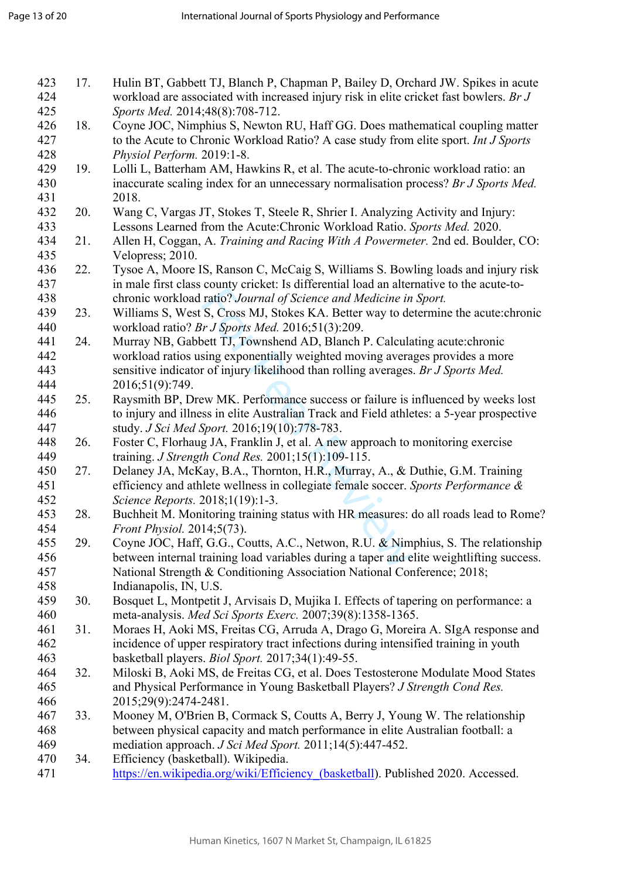| 423<br>424<br>425 | 17. | Hulin BT, Gabbett TJ, Blanch P, Chapman P, Bailey D, Orchard JW. Spikes in acute<br>workload are associated with increased injury risk in elite cricket fast bowlers. Br J<br>Sports Med. 2014;48(8):708-712. |
|-------------------|-----|---------------------------------------------------------------------------------------------------------------------------------------------------------------------------------------------------------------|
| 426<br>427        | 18. | Coyne JOC, Nimphius S, Newton RU, Haff GG. Does mathematical coupling matter<br>to the Acute to Chronic Workload Ratio? A case study from elite sport. Int J Sports                                           |
| 428               |     | Physiol Perform. 2019:1-8.                                                                                                                                                                                    |
| 429<br>430        | 19. | Lolli L, Batterham AM, Hawkins R, et al. The acute-to-chronic workload ratio: an<br>inaccurate scaling index for an unnecessary normalisation process? Br J Sports Med.                                       |
| 431               |     | 2018.                                                                                                                                                                                                         |
| 432               | 20. | Wang C, Vargas JT, Stokes T, Steele R, Shrier I. Analyzing Activity and Injury:                                                                                                                               |
| 433               |     | Lessons Learned from the Acute: Chronic Workload Ratio. Sports Med. 2020.                                                                                                                                     |
| 434               | 21. | Allen H, Coggan, A. Training and Racing With A Powermeter. 2nd ed. Boulder, CO:                                                                                                                               |
| 435               |     | Velopress; 2010.                                                                                                                                                                                              |
| 436               | 22. | Tysoe A, Moore IS, Ranson C, McCaig S, Williams S. Bowling loads and injury risk                                                                                                                              |
| 437               |     | in male first class county cricket: Is differential load an alternative to the acute-to-                                                                                                                      |
| 438               |     | chronic workload ratio? Journal of Science and Medicine in Sport.                                                                                                                                             |
| 439               | 23. | Williams S, West S, Cross MJ, Stokes KA. Better way to determine the acute: chronic                                                                                                                           |
| 440               |     | workload ratio? Br J Sports Med. 2016;51(3):209.                                                                                                                                                              |
| 441               | 24. | Murray NB, Gabbett TJ, Townshend AD, Blanch P. Calculating acute: chronic                                                                                                                                     |
| 442               |     | workload ratios using exponentially weighted moving averages provides a more                                                                                                                                  |
| 443               |     | sensitive indicator of injury likelihood than rolling averages. Br J Sports Med.                                                                                                                              |
| 444<br>445        |     | 2016;51(9):749.                                                                                                                                                                                               |
| 446               | 25. | Raysmith BP, Drew MK. Performance success or failure is influenced by weeks lost                                                                                                                              |
| 447               |     | to injury and illness in elite Australian Track and Field athletes: a 5-year prospective                                                                                                                      |
| 448               | 26. | study. J Sci Med Sport. 2016;19(10):778-783.<br>Foster C, Florhaug JA, Franklin J, et al. A new approach to monitoring exercise                                                                               |
| 449               |     | training. J Strength Cond Res. 2001;15(1):109-115.                                                                                                                                                            |
| 450               | 27. | Delaney JA, McKay, B.A., Thornton, H.R., Murray, A., & Duthie, G.M. Training                                                                                                                                  |
| 451               |     | efficiency and athlete wellness in collegiate female soccer. Sports Performance &                                                                                                                             |
| 452               |     | Science Reports. 2018;1(19):1-3.                                                                                                                                                                              |
| 453               | 28. | Buchheit M. Monitoring training status with HR measures: do all roads lead to Rome?                                                                                                                           |
| 454               |     | Front Physiol. 2014;5(73).                                                                                                                                                                                    |
| 455               | 29. | Coyne JOC, Haff, G.G., Coutts, A.C., Netwon, R.U. & Nimphius, S. The relationship                                                                                                                             |
| 456               |     | between internal training load variables during a taper and elite weightlifting success.                                                                                                                      |
| 457               |     | National Strength & Conditioning Association National Conference; 2018;                                                                                                                                       |
| 458               |     | Indianapolis, IN, U.S.                                                                                                                                                                                        |
| 459               | 30. | Bosquet L, Montpetit J, Arvisais D, Mujika I. Effects of tapering on performance: a                                                                                                                           |
| 460               |     | meta-analysis. Med Sci Sports Exerc. 2007;39(8):1358-1365.                                                                                                                                                    |
| 461               | 31. | Moraes H, Aoki MS, Freitas CG, Arruda A, Drago G, Moreira A. SIgA response and                                                                                                                                |
| 462               |     | incidence of upper respiratory tract infections during intensified training in youth                                                                                                                          |
| 463               |     | basketball players. <i>Biol Sport.</i> 2017;34(1):49-55.                                                                                                                                                      |
| 464               | 32. | Miloski B, Aoki MS, de Freitas CG, et al. Does Testosterone Modulate Mood States                                                                                                                              |
| 465               |     | and Physical Performance in Young Basketball Players? J Strength Cond Res.                                                                                                                                    |
| 466               |     | 2015;29(9):2474-2481.                                                                                                                                                                                         |
| 467               | 33. | Mooney M, O'Brien B, Cormack S, Coutts A, Berry J, Young W. The relationship                                                                                                                                  |
| 468               |     | between physical capacity and match performance in elite Australian football: a                                                                                                                               |
| 469               |     | mediation approach. J Sci Med Sport. 2011;14(5):447-452.                                                                                                                                                      |
| 470               | 34. | Efficiency (basketball). Wikipedia.                                                                                                                                                                           |
| 471               |     | https://en.wikipedia.org/wiki/Efficiency (basketball). Published 2020. Accessed.                                                                                                                              |
|                   |     |                                                                                                                                                                                                               |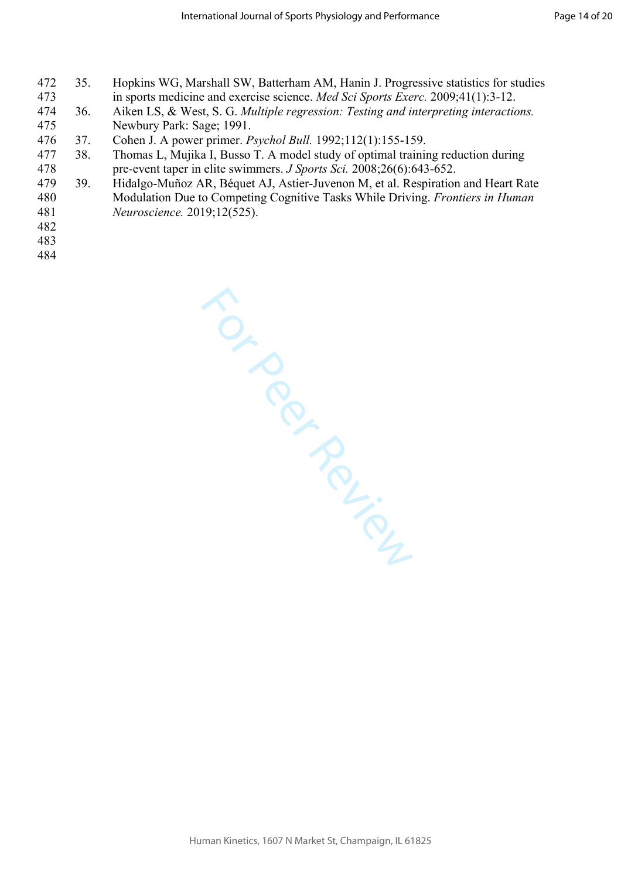- 472 35. Hopkins WG, Marshall SW, Batterham AM, Hanin J. Progressive statistics for studies 473 in sports medicine and exercise science. *Med Sci Sports Exerc.* 2009;41(1):3-12.
- 474 36. Aiken LS, & West, S. G. *Multiple regression: Testing and interpreting interactions.* 475 Newbury Park: Sage; 1991.
- 476 37. Cohen J. A power primer. *Psychol Bull.* 1992;112(1):155-159.
- 477 38. Thomas L, Mujika I, Busso T. A model study of optimal training reduction during 478 pre-event taper in elite swimmers. *J Sports Sci.* 2008;26(6):643-652.
- 479 39. Hidalgo-Muñoz AR, Béquet AJ, Astier-Juvenon M, et al. Respiration and Heart Rate 480 Modulation Due to Competing Cognitive Tasks While Driving. *Frontiers in Human*  481 *Neuroscience.* 2019;12(525).
- 482
- 483
- 484

TON PROVISING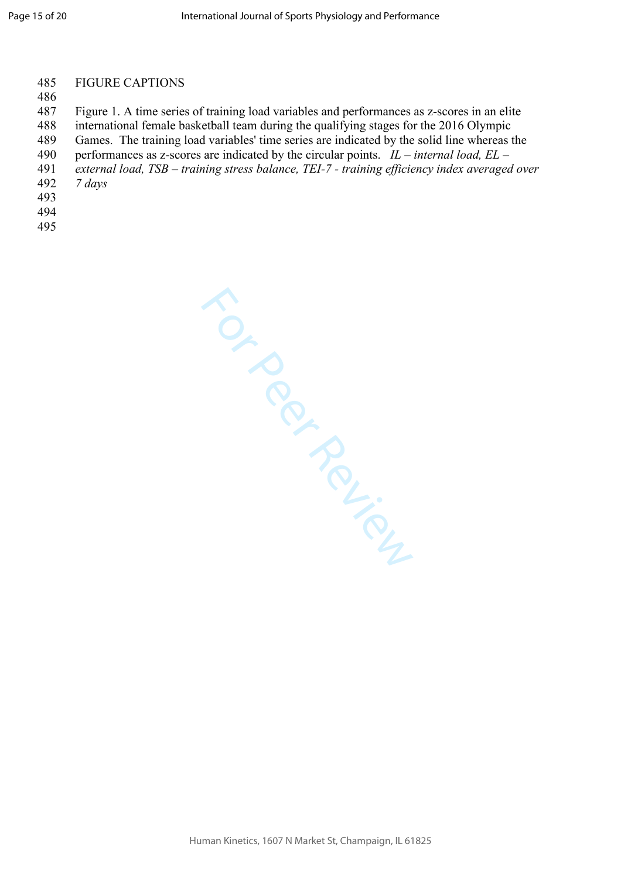#### 485 FIGURE CAPTIONS

#### 486

487 Figure 1. A time series of training load variables and performances as z-scores in an elite

- 488 international female basketball team during the qualifying stages for the 2016 Olympic
- 489 Games. The training load variables' time series are indicated by the solid line whereas the
- 490 performances as z-scores are indicated by the circular points. *IL internal load, EL*
- 491 *external load, TSB training stress balance, TEI-7 training efficiency index averaged over*
- 492 *7 days*
- 493
- 494
- 495

For Perican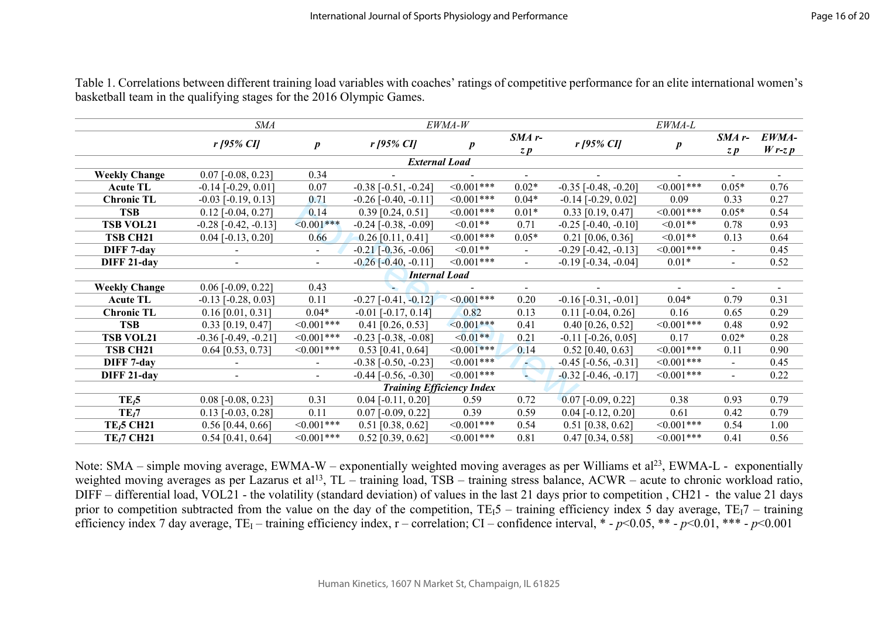|                                  | <b>SMA</b>                  |                  | EWMA-W                        |                  | <i>EWMA-L</i>   |                               |                  |                                  |                    |
|----------------------------------|-----------------------------|------------------|-------------------------------|------------------|-----------------|-------------------------------|------------------|----------------------------------|--------------------|
|                                  | $r$ [95% CI]                | $\boldsymbol{p}$ | $r$ [95% CI]                  | $\boldsymbol{p}$ | $SMA$ r-<br>z p | $r$ [95% CI]                  | $\boldsymbol{p}$ | $SMA$ r-<br>$Z$ $\boldsymbol{p}$ | EWMA-<br>$W$ r-z p |
|                                  |                             |                  | <b>External Load</b>          |                  |                 |                               |                  |                                  |                    |
| <b>Weekly Change</b>             | $0.07$ [-0.08, 0.23]        | 0.34             |                               |                  |                 |                               |                  |                                  |                    |
| <b>Acute TL</b>                  | $-0.14$ $[-0.29, 0.01]$     | 0.07             | $-0.38$ $[-0.51, -0.24]$      | $<0.001***$      | $0.02*$         | $-0.35$ $[-0.48, -0.20]$      | $<0.001***$      | $0.05*$                          | 0.76               |
| <b>Chronic TL</b>                | $-0.03$ $[-0.19, 0.13]$     | 0.71             | $-0.26$ [ $-0.40$ , $-0.11$ ] | $<0.001***$      | $0.04*$         | $-0.14$ [ $-0.29$ , $0.02$ ]  | 0.09             | 0.33                             | 0.27               |
| <b>TSB</b>                       | $0.12$ [ $-0.04$ , $0.27$ ] | 0.14             | $0.39$ [0.24, 0.51]           | $<0.001***$      | $0.01*$         | $0.33$ [0.19, 0.47]           | $<0.001***$      | $0.05*$                          | 0.54               |
| <b>TSB VOL21</b>                 | $-0.28$ $[-0.42, -0.13]$    | $<0.001***$      | $-0.24$ [ $-0.38$ , $-0.09$ ] | $\leq 0.01**$    | 0.71            | $-0.25$ [ $-0.40$ , $-0.10$ ] | $<0.01**$        | 0.78                             | 0.93               |
| TSB CH <sub>21</sub>             | $0.04$ [-0.13, 0.20]        | 0.66             | $0.26$ [0.11, 0.41]           | $<0.001***$      | $0.05*$         | $0.21$ [0.06, 0.36]           | $<0.01**$        | 0.13                             | 0.64               |
| DIFF 7-day                       |                             |                  | $-0.21$ $[-0.36, -0.06]$      | $<0.01**$        | $\blacksquare$  | $-0.29$ $[-0.42, -0.13]$      | $<0.001***$      | $\blacksquare$                   | 0.45               |
| DIFF 21-day                      |                             |                  | $-0.26$ $[-0.40, -0.11]$      | $<0.001***$      | $\overline{a}$  | $-0.19$ $[-0.34, -0.04]$      | $0.01*$          | $\blacksquare$                   | 0.52               |
|                                  |                             |                  | <b>Internal Load</b>          |                  |                 |                               |                  |                                  |                    |
| <b>Weekly Change</b>             | $0.06$ [-0.09, 0.22]        | 0.43             |                               |                  | $\sim$          |                               | $\sim$           | $\blacksquare$                   | $\sim$             |
| <b>Acute TL</b>                  | $-0.13$ $[-0.28, 0.03]$     | 0.11             | $-0.27$ $[-0.41, -0.12]$      | $<0.001***$      | 0.20            | $-0.16$ [ $-0.31$ , $-0.01$ ] | $0.04*$          | 0.79                             | 0.31               |
| <b>Chronic TL</b>                | $0.16$ [0.01, 0.31]         | $0.04*$          | $-0.01$ [ $-0.17, 0.14$ ]     | 0.82             | 0.13            | $0.11$ [-0.04, 0.26]          | 0.16             | 0.65                             | 0.29               |
| <b>TSB</b>                       | $0.33$ [0.19, 0.47]         | $<0.001***$      | $0.41$ [0.26, 0.53]           | $\leq 0.001$ *** | 0.41            | $0.40$ [0.26, 0.52]           | $<0.001***$      | 0.48                             | 0.92               |
| <b>TSB VOL21</b>                 | $-0.36$ [ $-0.49, -0.21$ ]  | $< 0.001$ ***    | $-0.23$ $[-0.38, -0.08]$      | $<0.01**$        | 0.21            | $-0.11$ $[-0.26, 0.05]$       | 0.17             | $0.02*$                          | 0.28               |
| <b>TSB CH21</b>                  | $0.64$ [0.53, 0.73]         | $<0.001***$      | $0.53$ [0.41, 0.64]           | $\leq 0.001$ *** | 0.14            | $0.52$ [0.40, 0.63]           | $<0.001***$      | 0.11                             | 0.90               |
| DIFF 7-day                       |                             | $\sim$           | $-0.38$ $[-0.50, -0.23]$      | $<0.001***$      | Æ               | $-0.45$ [ $-0.56$ , $-0.31$ ] | $<0.001***$      | $\blacksquare$                   | 0.45               |
| DIFF 21-day                      |                             | $\sim$           | $-0.44$ [ $-0.56$ , $-0.30$ ] | $<0.001***$      | L.              | $-0.32$ [ $-0.46$ , $-0.17$ ] | $<0.001***$      | $\blacksquare$                   | 0.22               |
| <b>Training Efficiency Index</b> |                             |                  |                               |                  |                 |                               |                  |                                  |                    |
| $TE_15$                          | $0.08$ [-0.08, 0.23]        | 0.31             | $0.04$ [-0.11, 0.20]          | 0.59             | 0.72            | $0.07$ [-0.09, 0.22]          | 0.38             | 0.93                             | 0.79               |
| TE <sub>i</sub> 7                | $0.13$ [-0.03, 0.28]        | 0.11             | $0.07$ [-0.09, 0.22]          | 0.39             | 0.59            | $0.04$ [-0.12, 0.20]          | 0.61             | 0.42                             | 0.79               |
| $TE_15$ CH21                     | $0.56$ [0.44, 0.66]         | $<0.001***$      | $0.51$ [0.38, 0.62]           | $<0.001***$      | 0.54            | $0.51$ [0.38, 0.62]           | $<0.001***$      | 0.54                             | 1.00               |
| <b>TE<sub>1</sub>7 CH21</b>      | $0.54$ [0.41, 0.64]         | $<0.001***$      | $0.52$ [0.39, 0.62]           | $<0.001***$      | 0.81            | $0.47$ [0.34, 0.58]           | $<0.001***$      | 0.41                             | 0.56               |

Table 1. Correlations between different training load variables with coaches' ratings of competitive performance for an elite international women's basketball team in the qualifying stages for the 2016 Olympic Games.

Note: SMA – simple moving average, EWMA-W – exponentially weighted moving averages as per Williams et al<sup>23</sup>, EWMA-L - exponentially weighted moving averages as per Lazarus et al<sup>13</sup>, TL – training load, TSB – training stress balance, ACWR – acute to chronic workload ratio, DIFF – differential load, VOL21 - the volatility (standard deviation) of values in the last 21 days prior to competition , CH21 - the value 21 days prior to competition subtracted from the value on the day of the competition,  $TE_15$  – training efficiency index 5 day average,  $TE_17$  – training efficiency index 7 day average, TE<sub>I</sub> – training efficiency index, r – correlation; CI – confidence interval, \* -  $p$ <0.05, \*\* -  $p$ <0.01, \*\*\* -  $p$ <0.001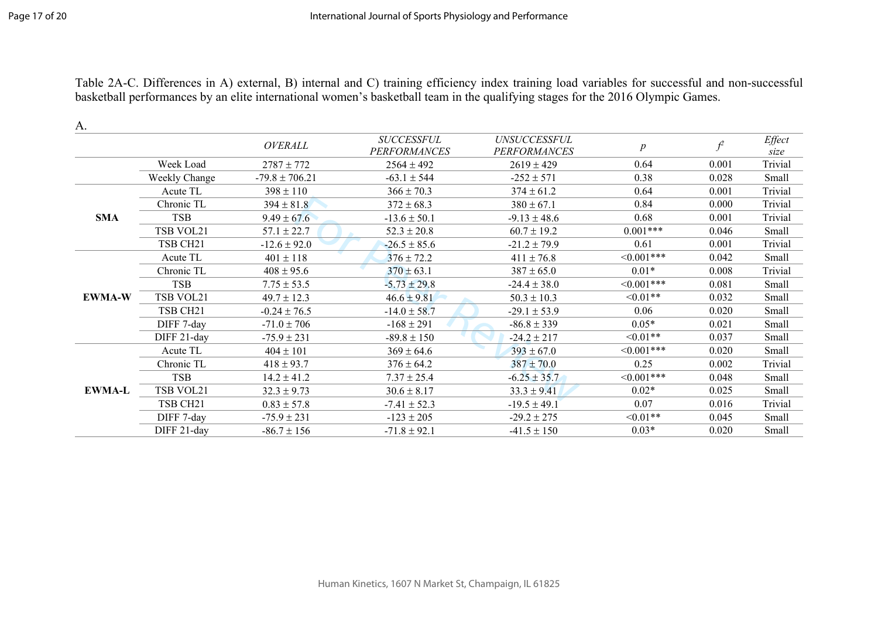Table 2A-C. Differences in A) external, B) internal and C) training efficiency index training load variables for successful and non-successful basketball performances by an elite international women's basketball team in the qualifying stages for the 2016 Olympic Games.

| A.            |                      |                    |                                          |                                            |                  |       |                |
|---------------|----------------------|--------------------|------------------------------------------|--------------------------------------------|------------------|-------|----------------|
|               |                      | <b>OVERALL</b>     | <b>SUCCESSFUL</b><br><b>PERFORMANCES</b> | <b>UNSUCCESSFUL</b><br><b>PERFORMANCES</b> | $\boldsymbol{p}$ | $f^2$ | Effect<br>size |
|               | Week Load            | $2787 \pm 772$     | $2564 \pm 492$                           | $2619 \pm 429$                             | 0.64             | 0.001 | Trivial        |
|               | Weekly Change        | $-79.8 \pm 706.21$ | $-63.1 \pm 544$                          | $-252 \pm 571$                             | 0.38             | 0.028 | Small          |
|               | Acute TL             | $398 \pm 110$      | $366 \pm 70.3$                           | $374 \pm 61.2$                             | 0.64             | 0.001 | Trivial        |
|               | Chronic TL           | $394 \pm 81.8$     | $372 \pm 68.3$                           | $380 \pm 67.1$                             | 0.84             | 0.000 | Trivial        |
| <b>SMA</b>    | <b>TSB</b>           | $9.49 \pm 67.6$    | $-13.6 \pm 50.1$                         | $-9.13 \pm 48.6$                           | 0.68             | 0.001 | Trivial        |
|               | TSB VOL21            | $57.1 \pm 22.7$    | $52.3 \pm 20.8$                          | $60.7 \pm 19.2$                            | $0.001***$       | 0.046 | Small          |
|               | TSB CH <sub>21</sub> | $-12.6 \pm 92.0$   | $-26.5 \pm 85.6$                         | $-21.2 \pm 79.9$                           | 0.61             | 0.001 | Trivial        |
|               | Acute TL             | $401 \pm 118$      | $376 \pm 72.2$                           | $411 \pm 76.8$                             | $<0.001***$      | 0.042 | Small          |
|               | Chronic TL           | $408 \pm 95.6$     | $370 \pm 63.1$                           | $387 \pm 65.0$                             | $0.01*$          | 0.008 | Trivial        |
|               | <b>TSB</b>           | $7.75 \pm 53.5$    | $-5.73 \pm 29.8$                         | $-24.4 \pm 38.0$                           | $\leq 0.001$ *** | 0.081 | Small          |
| <b>EWMA-W</b> | TSB VOL21            | $49.7 \pm 12.3$    | $46.6 \pm 9.81$                          | $50.3 \pm 10.3$                            | $\leq 0.01**$    | 0.032 | Small          |
|               | TSB CH <sub>21</sub> | $-0.24 \pm 76.5$   | $-14.0 \pm 58.7$                         | $-29.1 \pm 53.9$                           | 0.06             | 0.020 | Small          |
|               | DIFF 7-day           | $-71.0 \pm 706$    | $-168 \pm 291$                           | $-86.8 \pm 339$                            | $0.05*$          | 0.021 | Small          |
|               | DIFF 21-day          | $-75.9 \pm 231$    | $-89.8 \pm 150$                          | $-24.2 \pm 217$                            | $<0.01**$        | 0.037 | Small          |
|               | Acute TL             | $404 \pm 101$      | $369 \pm 64.6$                           | $393 \pm 67.0$                             | $<0.001***$      | 0.020 | Small          |
| <b>EWMA-L</b> | Chronic TL           | $418 \pm 93.7$     | $376 \pm 64.2$                           | $387 \pm 70.0$                             | 0.25             | 0.002 | Trivial        |
|               | <b>TSB</b>           | $14.2 \pm 41.2$    | $7.37 \pm 25.4$                          | $-6.25 \pm 35.7$                           | $<0.001***$      | 0.048 | Small          |
|               | TSB VOL21            | $32.3 \pm 9.73$    | $30.6 \pm 8.17$                          | $33.3 \pm 9.41$                            | $0.02*$          | 0.025 | Small          |
|               | TSB CH <sub>21</sub> | $0.83 \pm 57.8$    | $-7.41 \pm 52.3$                         | $-19.5 \pm 49.1$                           | 0.07             | 0.016 | Trivial        |
|               | DIFF 7-day           | $-75.9 \pm 231$    | $-123 \pm 205$                           | $-29.2 \pm 275$                            | $<0.01**$        | 0.045 | Small          |
|               | DIFF 21-day          | $-86.7 \pm 156$    | $-71.8 \pm 92.1$                         | $-41.5 \pm 150$                            | $0.03*$          | 0.020 | Small          |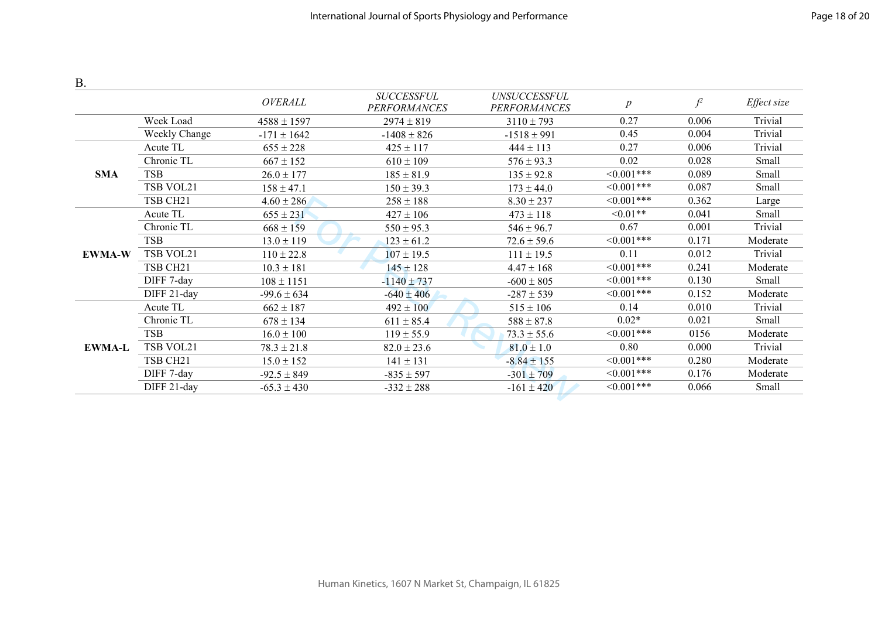| <b>B</b> .    |                      |                 |                                          |                                     |                  |       |             |
|---------------|----------------------|-----------------|------------------------------------------|-------------------------------------|------------------|-------|-------------|
|               |                      | OVERALL         | <b>SUCCESSFUL</b><br><b>PERFORMANCES</b> | UNSUCCESSFUL<br><b>PERFORMANCES</b> | $\boldsymbol{p}$ | $f^2$ | Effect size |
|               | Week Load            | $4588 \pm 1597$ | $2974 \pm 819$                           | $3110 \pm 793$                      | 0.27             | 0.006 | Trivial     |
|               | Weekly Change        | $-171 \pm 1642$ | $-1408 \pm 826$                          | $-1518 \pm 991$                     | 0.45             | 0.004 | Trivial     |
|               | Acute TL             | $655 \pm 228$   | $425 \pm 117$                            | $444 \pm 113$                       | 0.27             | 0.006 | Trivial     |
|               | Chronic TL           | $667 \pm 152$   | $610 \pm 109$                            | $576 \pm 93.3$                      | 0.02             | 0.028 | Small       |
| <b>SMA</b>    | <b>TSB</b>           | $26.0 \pm 177$  | $185 \pm 81.9$                           | $135 \pm 92.8$                      | $\leq 0.001$ *** | 0.089 | Small       |
|               | TSB VOL21            | $158 \pm 47.1$  | $150 \pm 39.3$                           | $173 \pm 44.0$                      | $\leq 0.001$ *** | 0.087 | Small       |
|               | TSB CH <sub>21</sub> | $4.60 \pm 286$  | $258 \pm 188$                            | $8.30 \pm 237$                      | $\leq 0.001$ *** | 0.362 | Large       |
|               | Acute TL             | $655 \pm 231$   | $427 \pm 106$                            | $473 \pm 118$                       | $<0.01**$        | 0.041 | Small       |
|               | Chronic TL           | $668 \pm 159$   | $550 \pm 95.3$                           | $546 \pm 96.7$                      | 0.67             | 0.001 | Trivial     |
|               | <b>TSB</b>           | $13.0 \pm 119$  | $123 \pm 61.2$                           | $72.6 \pm 59.6$                     | $\leq 0.001$ *** | 0.171 | Moderate    |
| <b>EWMA-W</b> | TSB VOL21            | $110 \pm 22.8$  | $107 \pm 19.5$                           | $111 \pm 19.5$                      | 0.11             | 0.012 | Trivial     |
|               | TSB CH <sub>21</sub> | $10.3 \pm 181$  | $145 \pm 128$                            | $4.47 \pm 168$                      | $\leq 0.001$ *** | 0.241 | Moderate    |
|               | DIFF 7-day           | $108 \pm 1151$  | $-1140 \pm 737$                          | $-600 \pm 805$                      | $\leq 0.001$ *** | 0.130 | Small       |
|               | DIFF 21-day          | $-99.6 \pm 634$ | $-640 \pm 406$                           | $-287 \pm 539$                      | $\leq 0.001$ *** | 0.152 | Moderate    |
|               | Acute TL             | $662 \pm 187$   | $492 \pm 100$                            | $515 \pm 106$                       | 0.14             | 0.010 | Trivial     |
|               | Chronic TL           | $678 \pm 134$   | $611 \pm 85.4$                           | $588 \pm 87.8$                      | $0.02*$          | 0.021 | Small       |
| <b>EWMA-L</b> | <b>TSB</b>           | $16.0 \pm 100$  | $119 \pm 55.9$                           | $73.3 \pm 55.6$                     | $\leq 0.001$ *** | 0156  | Moderate    |
|               | TSB VOL21            | $78.3 \pm 21.8$ | $82.0 \pm 23.6$                          | $81.0 \pm 1.0$                      | 0.80             | 0.000 | Trivial     |
|               | TSB CH <sub>21</sub> | $15.0 \pm 152$  | $141 \pm 131$                            | $-8.84 \pm 155$                     | $<0.001***$      | 0.280 | Moderate    |
|               | DIFF 7-day           | $-92.5 \pm 849$ | $-835 \pm 597$                           | $-301 \pm 709$                      | $\leq 0.001$ *** | 0.176 | Moderate    |
|               | DIFF 21-day          | $-65.3 \pm 430$ | $-332 \pm 288$                           | $-161 \pm 420$                      | $\leq 0.001$ *** | 0.066 | Small       |
|               |                      |                 |                                          |                                     |                  |       |             |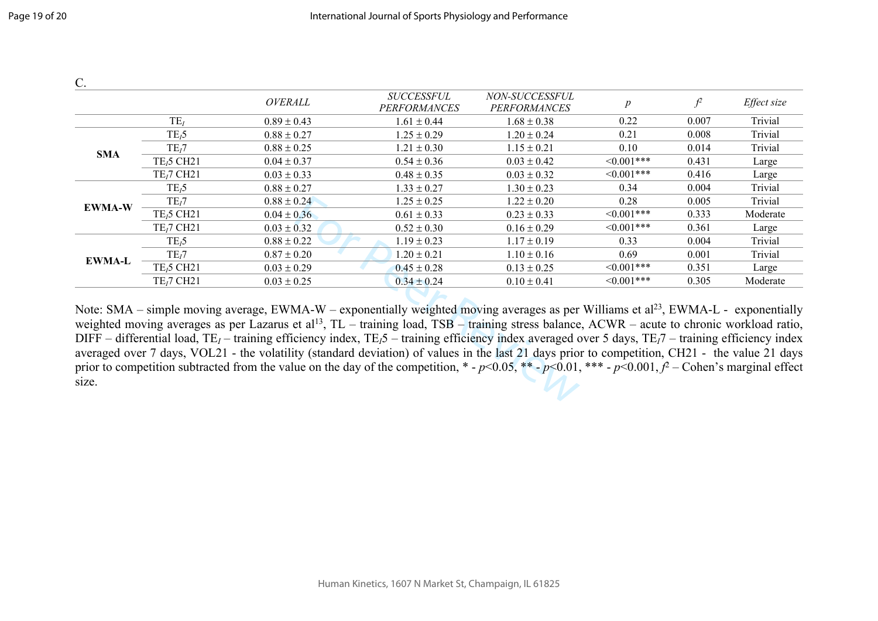| $\mathcal{C}$ .                                                                                                                                                                                                                                                                                                                                                                                                                                                                                                                                                                                                                                                                                                                                                                                                                                 |                                    |                 |                                          |                                       |                  |       |             |  |
|-------------------------------------------------------------------------------------------------------------------------------------------------------------------------------------------------------------------------------------------------------------------------------------------------------------------------------------------------------------------------------------------------------------------------------------------------------------------------------------------------------------------------------------------------------------------------------------------------------------------------------------------------------------------------------------------------------------------------------------------------------------------------------------------------------------------------------------------------|------------------------------------|-----------------|------------------------------------------|---------------------------------------|------------------|-------|-------------|--|
|                                                                                                                                                                                                                                                                                                                                                                                                                                                                                                                                                                                                                                                                                                                                                                                                                                                 |                                    | OVERALL         | <b>SUCCESSFUL</b><br><b>PERFORMANCES</b> | NON-SUCCESSFUL<br><b>PERFORMANCES</b> | $\boldsymbol{p}$ | $f^2$ | Effect size |  |
|                                                                                                                                                                                                                                                                                                                                                                                                                                                                                                                                                                                                                                                                                                                                                                                                                                                 | $TE_I$                             | $0.89 \pm 0.43$ | $1.61 \pm 0.44$                          | $1.68 \pm 0.38$                       | 0.22             | 0.007 | Trivial     |  |
|                                                                                                                                                                                                                                                                                                                                                                                                                                                                                                                                                                                                                                                                                                                                                                                                                                                 | $TE_15$                            | $0.88 \pm 0.27$ | $1.25 \pm 0.29$                          | $1.20 \pm 0.24$                       | 0.21             | 0.008 | Trivial     |  |
| <b>SMA</b>                                                                                                                                                                                                                                                                                                                                                                                                                                                                                                                                                                                                                                                                                                                                                                                                                                      | TE <sub>i</sub> 7                  | $0.88 \pm 0.25$ | $1.21 \pm 0.30$                          | $1.15 \pm 0.21$                       | 0.10             | 0.014 | Trivial     |  |
|                                                                                                                                                                                                                                                                                                                                                                                                                                                                                                                                                                                                                                                                                                                                                                                                                                                 | $TE15$ CH <sub>21</sub>            | $0.04 \pm 0.37$ | $0.54 \pm 0.36$                          | $0.03 \pm 0.42$                       | $<0.001***$      | 0.431 | Large       |  |
|                                                                                                                                                                                                                                                                                                                                                                                                                                                                                                                                                                                                                                                                                                                                                                                                                                                 | TE <sub>1</sub> 7 CH <sub>21</sub> | $0.03 \pm 0.33$ | $0.48 \pm 0.35$                          | $0.03 \pm 0.32$                       | $<0.001***$      | 0.416 | Large       |  |
|                                                                                                                                                                                                                                                                                                                                                                                                                                                                                                                                                                                                                                                                                                                                                                                                                                                 | $TE_15$                            | $0.88 \pm 0.27$ | $1.33 \pm 0.27$                          | $1.30 \pm 0.23$                       | 0.34             | 0.004 | Trivial     |  |
| <b>EWMA-W</b>                                                                                                                                                                                                                                                                                                                                                                                                                                                                                                                                                                                                                                                                                                                                                                                                                                   | TE <sub>i</sub> 7                  | $0.88 \pm 0.24$ | $1.25 \pm 0.25$                          | $1.22 \pm 0.20$                       | 0.28             | 0.005 | Trivial     |  |
|                                                                                                                                                                                                                                                                                                                                                                                                                                                                                                                                                                                                                                                                                                                                                                                                                                                 | $TE15$ CH <sub>21</sub>            | $0.04 \pm 0.36$ | $0.61 \pm 0.33$                          | $0.23 \pm 0.33$                       | $\leq 0.001$ *** | 0.333 | Moderate    |  |
|                                                                                                                                                                                                                                                                                                                                                                                                                                                                                                                                                                                                                                                                                                                                                                                                                                                 | TE <sub>1</sub> 7 CH <sub>21</sub> | $0.03 \pm 0.32$ | $0.52 \pm 0.30$                          | $0.16 \pm 0.29$                       | $\leq 0.001$ *** | 0.361 | Large       |  |
|                                                                                                                                                                                                                                                                                                                                                                                                                                                                                                                                                                                                                                                                                                                                                                                                                                                 | $TE_15$                            | $0.88 \pm 0.22$ | $1.19 \pm 0.23$                          | $1.17 \pm 0.19$                       | 0.33             | 0.004 | Trivial     |  |
| <b>EWMA-L</b>                                                                                                                                                                                                                                                                                                                                                                                                                                                                                                                                                                                                                                                                                                                                                                                                                                   | TE <sub>i</sub> 7                  | $0.87 \pm 0.20$ | $1.20 \pm 0.21$                          | $1.10 \pm 0.16$                       | 0.69             | 0.001 | Trivial     |  |
|                                                                                                                                                                                                                                                                                                                                                                                                                                                                                                                                                                                                                                                                                                                                                                                                                                                 | $TE15$ CH <sub>21</sub>            | $0.03 \pm 0.29$ | $0.45 \pm 0.28$                          | $0.13 \pm 0.25$                       | $\leq 0.001$ *** | 0.351 | Large       |  |
|                                                                                                                                                                                                                                                                                                                                                                                                                                                                                                                                                                                                                                                                                                                                                                                                                                                 | $TE17$ CH <sub>21</sub>            | $0.03 \pm 0.25$ | $0.34 \pm 0.24$                          | $0.10 \pm 0.41$                       | $\leq 0.001$ *** | 0.305 | Moderate    |  |
| Note: SMA – simple moving average, EWMA-W – exponentially weighted moving averages as per Williams et al <sup>23</sup> , EWMA-L - exponentially<br>weighted moving averages as per Lazarus et al <sup>13</sup> , TL - training load, TSB - training stress balance, ACWR - acute to chronic workload ratio,<br>DIFF – differential load, TE <sub>I</sub> – training efficiency index, TE <sub>I</sub> 5 – training efficiency index averaged over 5 days, TE <sub>I</sub> 7 – training efficiency index<br>averaged over 7 days, VOL21 - the volatility (standard deviation) of values in the last 21 days prior to competition, CH21 - the value 21 days<br>prior to competition subtracted from the value on the day of the competition, $* - p \le 0.05$ , $** - p \le 0.01$ , $** - p \le 0.001$ , $f^2$ – Cohen's marginal effect<br>size. |                                    |                 |                                          |                                       |                  |       |             |  |